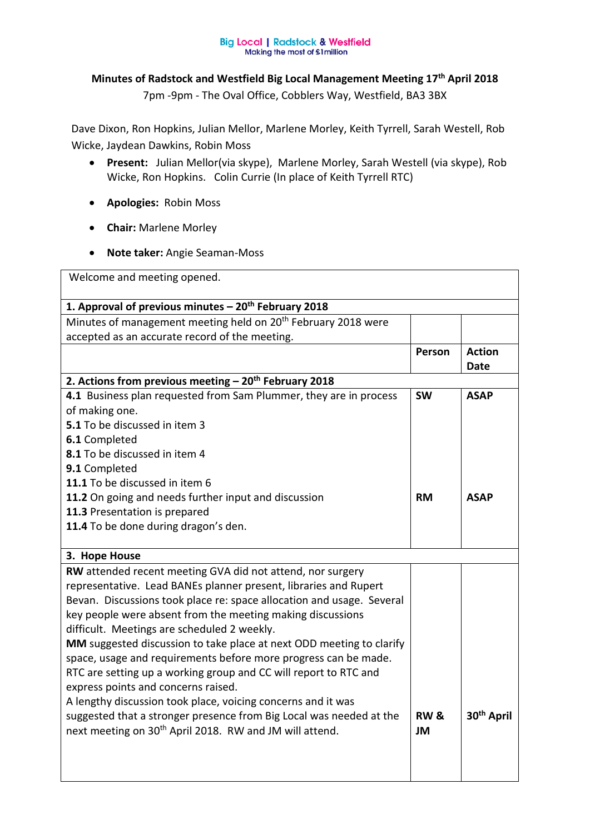## **Big Local | Radstock & Westfield** Making the most of £1 million

## **Minutes of Radstock and Westfield Big Local Management Meeting 17th April 2018**

7pm -9pm - The Oval Office, Cobblers Way, Westfield, BA3 3BX

Dave Dixon, Ron Hopkins, Julian Mellor, Marlene Morley, Keith Tyrrell, Sarah Westell, Rob Wicke, Jaydean Dawkins, Robin Moss

- **Present:** Julian Mellor(via skype), Marlene Morley, Sarah Westell (via skype), Rob Wicke, Ron Hopkins. Colin Currie (In place of Keith Tyrrell RTC)
- **Apologies:** Robin Moss
- **Chair:** Marlene Morley
- **Note taker:** Angie Seaman-Moss

Welcome and meeting opened. **1. Approval of previous minutes – 20th February 2018**  Minutes of management meeting held on 20<sup>th</sup> February 2018 were accepted as an accurate record of the meeting. **Person Action Date 2. Actions from previous meeting – 20th February 2018 4.1** Business plan requested from Sam Plummer, they are in process of making one. **5.1** To be discussed in item 3 **6.1** Completed **8.1** To be discussed in item 4 **9.1** Completed **11.1** To be discussed in item 6 **11.2** On going and needs further input and discussion **11.3** Presentation is prepared **11.4** To be done during dragon's den. **SW RM ASAP ASAP 3. Hope House RW** attended recent meeting GVA did not attend, nor surgery representative. Lead BANEs planner present, libraries and Rupert Bevan. Discussions took place re: space allocation and usage. Several key people were absent from the meeting making discussions difficult. Meetings are scheduled 2 weekly. **MM** suggested discussion to take place at next ODD meeting to clarify space, usage and requirements before more progress can be made. RTC are setting up a working group and CC will report to RTC and express points and concerns raised. A lengthy discussion took place, voicing concerns and it was suggested that a stronger presence from Big Local was needed at the next meeting on 30<sup>th</sup> April 2018. RW and JM will attend. **RW & JM 30th April**